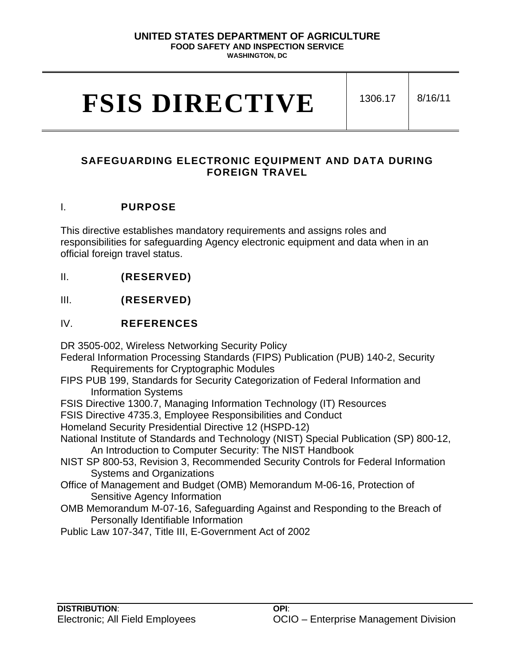# **UNITED STATES DEPARTMENT OF AGRICULTURE FOOD SAFETY AND INSPECTION SERVICE**

**WASHINGTON, DC**

# **FSIS DIRECTIVE** 1306.17 8/16/11

# **SAFEGUARDING ELECTRONIC EQUIPMENT AND DATA DURING FOREIGN TRAVEL**

#### I. **PURPOSE**

This directive establishes mandatory requirements and assigns roles and responsibilities for safeguarding Agency electronic equipment and data when in an official foreign travel status.

II. **(RESERVED)**

III. **(RESERVED)**

IV. **REFERENCES**

DR 3505-002, Wireless Networking Security Policy

- Federal Information Processing Standards (FIPS) Publication (PUB) 140-2, Security Requirements for Cryptographic Modules
- FIPS PUB 199, Standards for Security Categorization of Federal Information and Information Systems
- FSIS Directive 1300.7, Managing Information Technology (IT) Resources
- FSIS Directive 4735.3, Employee Responsibilities and Conduct
- Homeland Security Presidential Directive 12 (HSPD-12)
- National Institute of Standards and Technology (NIST) Special Publication (SP) 800-12, An Introduction to Computer Security: The NIST Handbook
- NIST SP 800-53, Revision 3, Recommended Security Controls for Federal Information Systems and Organizations
- Office of Management and Budget (OMB) Memorandum M-06-16, Protection of Sensitive Agency Information
- OMB Memorandum M-07-16, Safeguarding Against and Responding to the Breach of Personally Identifiable Information
- Public Law 107-347, Title III, E-Government Act of 2002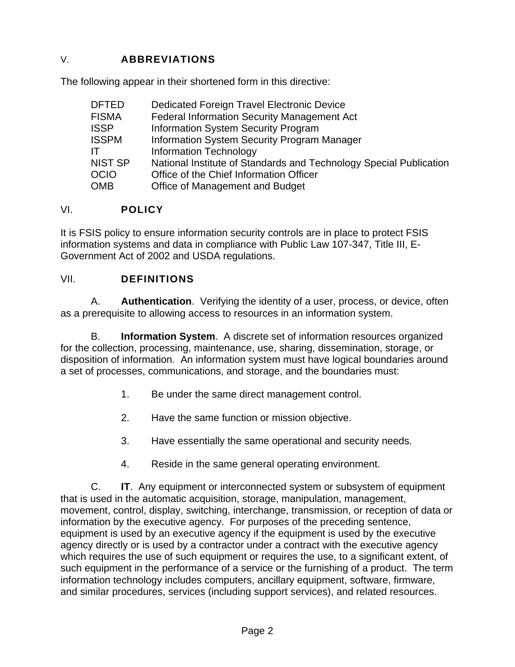# V. **ABBREVIATIONS**

The following appear in their shortened form in this directive:

| <b>DFTED</b> | <b>Dedicated Foreign Travel Electronic Device</b>                  |
|--------------|--------------------------------------------------------------------|
| FISMA        | <b>Federal Information Security Management Act</b>                 |
| <b>ISSP</b>  | <b>Information System Security Program</b>                         |
| <b>ISSPM</b> | Information System Security Program Manager                        |
| IT.          | <b>Information Technology</b>                                      |
| NIST SP      | National Institute of Standards and Technology Special Publication |
| OCIO         | Office of the Chief Information Officer                            |
| OMB          | Office of Management and Budget                                    |

#### VI. **POLICY**

It is FSIS policy to ensure information security controls are in place to protect FSIS information systems and data in compliance with Public Law 107-347, Title III, E-Government Act of 2002 and USDA regulations.

#### VII. **DEFINITIONS**

A. **Authentication**. Verifying the identity of a user, process, or device, often as a prerequisite to allowing access to resources in an information system.

B. **Information System**. A discrete set of information resources organized for the collection, processing, maintenance, use, sharing, dissemination, storage, or disposition of information. An information system must have logical boundaries around a set of processes, communications, and storage, and the boundaries must:

- 1. Be under the same direct management control.
- 2. Have the same function or mission objective.
- 3. Have essentially the same operational and security needs.
- 4. Reside in the same general operating environment.

C. **IT**. Any equipment or interconnected system or subsystem of equipment that is used in the automatic acquisition, storage, manipulation, management, movement, control, display, switching, interchange, transmission, or reception of data or information by the executive agency. For purposes of the preceding sentence, equipment is used by an executive agency if the equipment is used by the executive agency directly or is used by a contractor under a contract with the executive agency which requires the use of such equipment or requires the use, to a significant extent, of such equipment in the performance of a service or the furnishing of a product. The term information technology includes computers, ancillary equipment, software, firmware, and similar procedures, services (including support services), and related resources.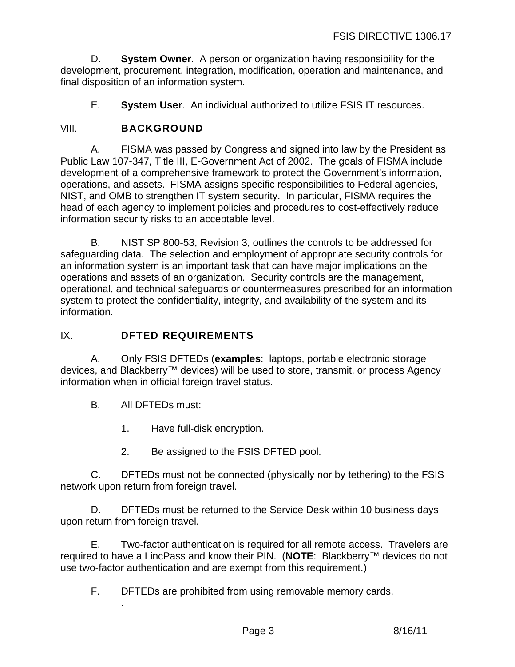D. **System Owner**. A person or organization having responsibility for the development, procurement, integration, modification, operation and maintenance, and final disposition of an information system.

E. **System User**. An individual authorized to utilize FSIS IT resources.

# VIII. **BACKGROUND**

A. FISMA was passed by Congress and signed into law by the President as Public Law 107-347, Title III, E-Government Act of 2002. The goals of FISMA include development of a comprehensive framework to protect the Government's information, operations, and assets. FISMA assigns specific responsibilities to Federal agencies, NIST, and OMB to strengthen IT system security. In particular, FISMA requires the head of each agency to implement policies and procedures to cost-effectively reduce information security risks to an acceptable level.

B. NIST SP 800-53, Revision 3, outlines the controls to be addressed for safeguarding data. The selection and employment of appropriate security controls for an information system is an important task that can have major implications on the operations and assets of an organization. Security controls are the management, operational, and technical safeguards or countermeasures prescribed for an information system to protect the confidentiality, integrity, and availability of the system and its information.

# IX. **DFTED REQUIREMENTS**

A. Only FSIS DFTEDs (**examples**: laptops, portable electronic storage devices, and Blackberry™ devices) will be used to store, transmit, or process Agency information when in official foreign travel status.

B. All DFTEDs must:

.

- 1. Have full-disk encryption.
- 2. Be assigned to the FSIS DFTED pool.

C. DFTEDs must not be connected (physically nor by tethering) to the FSIS network upon return from foreign travel.

D. DFTEDs must be returned to the Service Desk within 10 business days upon return from foreign travel.

E. Two-factor authentication is required for all remote access. Travelers are required to have a LincPass and know their PIN. (**NOTE**: Blackberry™ devices do not use two-factor authentication and are exempt from this requirement.)

F. DFTEDs are prohibited from using removable memory cards.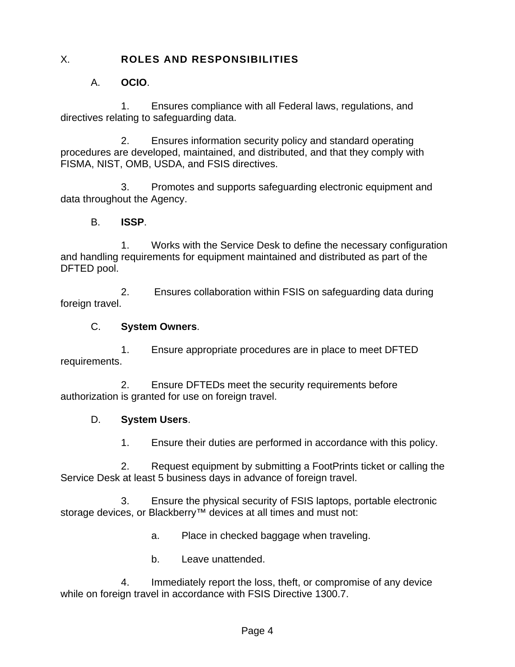## X. **ROLES AND RESPONSIBILITIES**

## A. **OCIO**.

1. Ensures compliance with all Federal laws, regulations, and directives relating to safeguarding data.

2. Ensures information security policy and standard operating procedures are developed, maintained, and distributed, and that they comply with FISMA, NIST, OMB, USDA, and FSIS directives.

3. Promotes and supports safeguarding electronic equipment and data throughout the Agency.

#### B. **ISSP**.

1. Works with the Service Desk to define the necessary configuration and handling requirements for equipment maintained and distributed as part of the DFTED pool.

2. Ensures collaboration within FSIS on safeguarding data during foreign travel.

#### C. **System Owners**.

1. Ensure appropriate procedures are in place to meet DFTED requirements.

2. Ensure DFTEDs meet the security requirements before authorization is granted for use on foreign travel.

#### D. **System Users**.

1. Ensure their duties are performed in accordance with this policy.

2. Request equipment by submitting a FootPrints ticket or calling the Service Desk at least 5 business days in advance of foreign travel.

3. Ensure the physical security of FSIS laptops, portable electronic storage devices, or Blackberry<sup>™</sup> devices at all times and must not:

a. Place in checked baggage when traveling.

b. Leave unattended.

4. Immediately report the loss, theft, or compromise of any device while on foreign travel in accordance with FSIS Directive 1300.7.